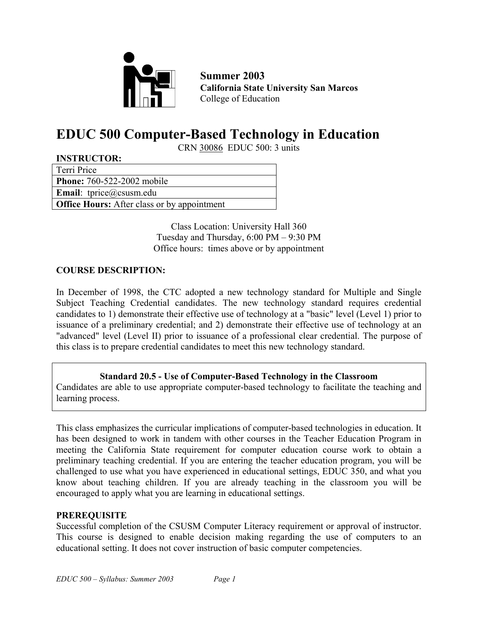

**Summer 2003 California State University San Marcos**  College of Education

# **EDUC 500 Computer-Based Technology in Education**

CRN 30086 EDUC 500: 3 units

| <b>INSTRUCTOR:</b>                                 |
|----------------------------------------------------|
| Terri Price                                        |
| <b>Phone:</b> 760-522-2002 mobile                  |
| <b>Email:</b> tprice@csusm.edu                     |
| <b>Office Hours:</b> After class or by appointment |
|                                                    |

Class Location: University Hall 360 Tuesday and Thursday, 6:00 PM – 9:30 PM Office hours: times above or by appointment

### **COURSE DESCRIPTION:**

In December of 1998, the CTC adopted a new technology standard for Multiple and Single Subject Teaching Credential candidates. The new technology standard requires credential candidates to 1) demonstrate their effective use of technology at a "basic" level (Level 1) prior to issuance of a preliminary credential; and 2) demonstrate their effective use of technology at an "advanced" level (Level II) prior to issuance of a professional clear credential. The purpose of this class is to prepare credential candidates to meet this new technology standard.

### **Standard 20.5 - Use of Computer-Based Technology in the Classroom**

Candidates are able to use appropriate computer-based technology to facilitate the teaching and learning process.

This class emphasizes the curricular implications of computer-based technologies in education. It has been designed to work in tandem with other courses in the Teacher Education Program in meeting the California State requirement for computer education course work to obtain a preliminary teaching credential. If you are entering the teacher education program, you will be challenged to use what you have experienced in educational settings, EDUC 350, and what you know about teaching children. If you are already teaching in the classroom you will be encouraged to apply what you are learning in educational settings.

### **PREREQUISITE**

Successful completion of the CSUSM Computer Literacy requirement or approval of instructor. This course is designed to enable decision making regarding the use of computers to an educational setting. It does not cover instruction of basic computer competencies.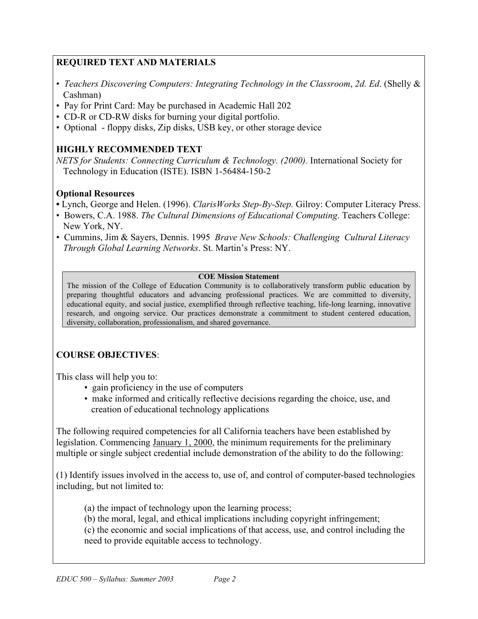## **REQUIRED TEXT AND MATERIALS**

- *Teachers Discovering Computers: Integrating Technology in the Classroom*, *2d. Ed*. (Shelly & Cashman)
- Pay for Print Card: May be purchased in Academic Hall 202
- CD-R or CD-RW disks for burning your digital portfolio.
- Optional floppy disks, Zip disks, USB key, or other storage device

## **HIGHLY RECOMMENDED TEXT**

*NETS for Students: Connecting Curriculum & Technology. (2000).* International Society for Technology in Education (ISTE). ISBN 1-56484-150-2

## **Optional Resources**

- Lynch, George and Helen. (1996). *ClarisWorks Step-By-Step.* Gilroy: Computer Literacy Press.
- Bowers, C.A. 1988. *The Cultural Dimensions of Educational Computing*. Teachers College: New York, NY.
- Cummins, Jim & Sayers, Dennis. 1995 *Brave New Schools: Challenging Cultural Literacy Through Global Learning Networks*. St. Martin's Press: NY.

#### **COE Mission Statement**

The mission of the College of Education Community is to collaboratively transform public education by preparing thoughtful educators and advancing professional practices. We are committed to diversity, educational equity, and social justice, exemplified through reflective teaching, life-long learning, innovative research, and ongoing service. Our practices demonstrate a commitment to student centered education, diversity, collaboration, professionalism, and shared governance.

## **COURSE OBJECTIVES**:

This class will help you to:

- gain proficiency in the use of computers
- make informed and critically reflective decisions regarding the choice, use, and creation of educational technology applications

The following required competencies for all California teachers have been established by legislation. Commencing January 1, 2000, the minimum requirements for the preliminary multiple or single subject credential include demonstration of the ability to do the following:

(1) Identify issues involved in the access to, use of, and control of computer-based technologies including, but not limited to:

(a) the impact of technology upon the learning process;

(b) the moral, legal, and ethical implications including copyright infringement;

(c) the economic and social implications of that access, use, and control including the need to provide equitable access to technology.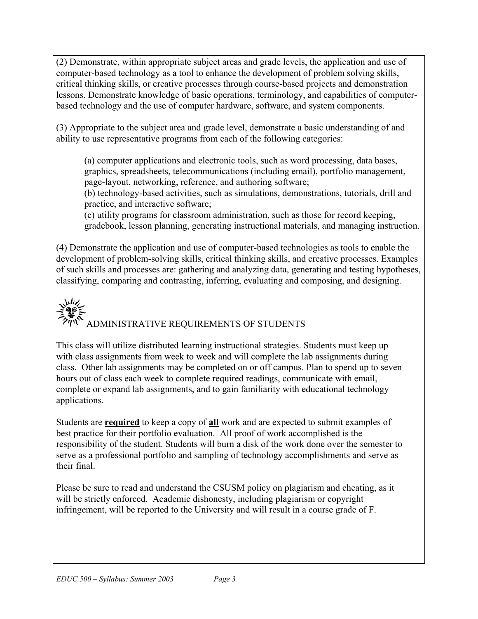(2) Demonstrate, within appropriate subject areas and grade levels, the application and use of computer-based technology as a tool to enhance the development of problem solving skills, critical thinking skills, or creative processes through course-based projects and demonstration lessons. Demonstrate knowledge of basic operations, terminology, and capabilities of computerbased technology and the use of computer hardware, software, and system components.

(3) Appropriate to the subject area and grade level, demonstrate a basic understanding of and ability to use representative programs from each of the following categories:

(a) computer applications and electronic tools, such as word processing, data bases, graphics, spreadsheets, telecommunications (including email), portfolio management, page-layout, networking, reference, and authoring software;

(b) technology-based activities, such as simulations, demonstrations, tutorials, drill and practice, and interactive software;

(c) utility programs for classroom administration, such as those for record keeping, gradebook, lesson planning, generating instructional materials, and managing instruction.

(4) Demonstrate the application and use of computer-based technologies as tools to enable the development of problem-solving skills, critical thinking skills, and creative processes. Examples of such skills and processes are: gathering and analyzing data, generating and testing hypotheses, classifying, comparing and contrasting, inferring, evaluating and composing, and designing.

# $\mathbf{y}_{\mathbf{y}}^{\mathbf{y}}$ ADMINISTRATIVE REQUIREMENTS OF STUDENTS

This class will utilize distributed learning instructional strategies. Students must keep up with class assignments from week to week and will complete the lab assignments during class. Other lab assignments may be completed on or off campus. Plan to spend up to seven hours out of class each week to complete required readings, communicate with email, complete or expand lab assignments, and to gain familiarity with educational technology applications.

Students are **required** to keep a copy of **all** work and are expected to submit examples of best practice for their portfolio evaluation. All proof of work accomplished is the responsibility of the student. Students will burn a disk of the work done over the semester to serve as a professional portfolio and sampling of technology accomplishments and serve as their final.

Please be sure to read and understand the CSUSM policy on plagiarism and cheating, as it will be strictly enforced. Academic dishonesty, including plagiarism or copyright infringement, will be reported to the University and will result in a course grade of F.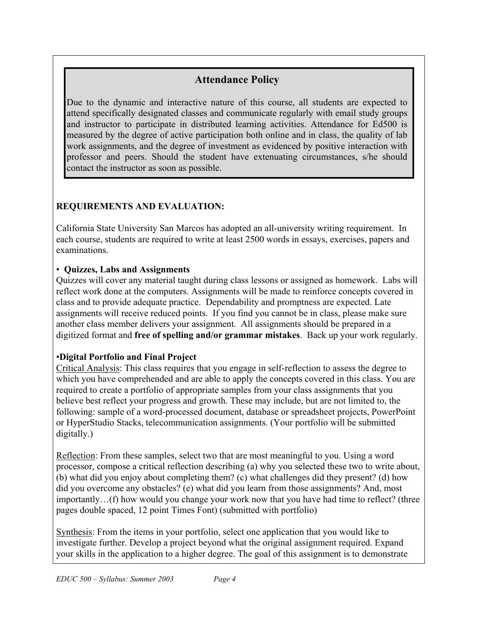# **Attendance Policy**

Due to the dynamic and interactive nature of this course, all students are expected to attend specifically designated classes and communicate regularly with email study groups and instructor to participate in distributed learning activities. Attendance for Ed500 is measured by the degree of active participation both online and in class, the quality of lab work assignments, and the degree of investment as evidenced by positive interaction with professor and peers. Should the student have extenuating circumstances, s/he should contact the instructor as soon as possible.

# **REQUIREMENTS AND EVALUATION:**

California State University San Marcos has adopted an all-university writing requirement. In each course, students are required to write at least 2500 words in essays, exercises, papers and examinations.

# • **Quizzes, Labs and Assignments**

Quizzes will cover any material taught during class lessons or assigned as homework. Labs will reflect work done at the computers. Assignments will be made to reinforce concepts covered in class and to provide adequate practice. Dependability and promptness are expected. Late assignments will receive reduced points. If you find you cannot be in class, please make sure another class member delivers your assignment. All assignments should be prepared in a digitized format and **free of spelling and/or grammar mistakes**. Back up your work regularly.

# •**Digital Portfolio and Final Project**

Critical Analysis: This class requires that you engage in self-reflection to assess the degree to which you have comprehended and are able to apply the concepts covered in this class. You are required to create a portfolio of appropriate samples from your class assignments that you believe best reflect your progress and growth. These may include, but are not limited to, the following: sample of a word-processed document, database or spreadsheet projects, PowerPoint or HyperStudio Stacks, telecommunication assignments. (Your portfolio will be submitted digitally.)

Reflection: From these samples, select two that are most meaningful to you. Using a word processor, compose a critical reflection describing (a) why you selected these two to write about, (b) what did you enjoy about completing them? (c) what challenges did they present? (d) how did you overcome any obstacles? (e) what did you learn from those assignments? And, most importantly…(f) how would you change your work now that you have had time to reflect? (three pages double spaced, 12 point Times Font) (submitted with portfolio)

Synthesis: From the items in your portfolio, select one application that you would like to investigate further. Develop a project beyond what the original assignment required. Expand your skills in the application to a higher degree. The goal of this assignment is to demonstrate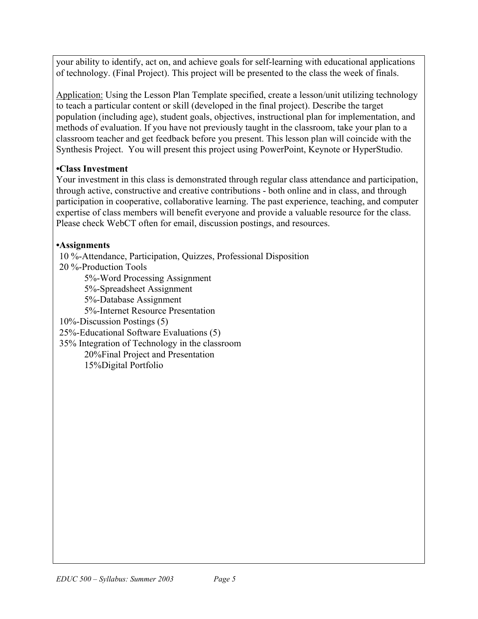your ability to identify, act on, and achieve goals for self-learning with educational applications of technology. (Final Project). This project will be presented to the class the week of finals.

Application: Using the Lesson Plan Template specified, create a lesson/unit utilizing technology to teach a particular content or skill (developed in the final project). Describe the target population (including age), student goals, objectives, instructional plan for implementation, and methods of evaluation. If you have not previously taught in the classroom, take your plan to a classroom teacher and get feedback before you present. This lesson plan will coincide with the Synthesis Project. You will present this project using PowerPoint, Keynote or HyperStudio.

## **•Class Investment**

Your investment in this class is demonstrated through regular class attendance and participation, through active, constructive and creative contributions - both online and in class, and through participation in cooperative, collaborative learning. The past experience, teaching, and computer expertise of class members will benefit everyone and provide a valuable resource for the class. Please check WebCT often for email, discussion postings, and resources.

## **•Assignments**

10 %-Attendance, Participation, Quizzes, Professional Disposition 20 %-Production Tools 5%-Word Processing Assignment 5%-Spreadsheet Assignment 5%-Database Assignment 5%-Internet Resource Presentation 10%-Discussion Postings (5) 25%-Educational Software Evaluations (5) 35% Integration of Technology in the classroom 20%Final Project and Presentation 15%Digital Portfolio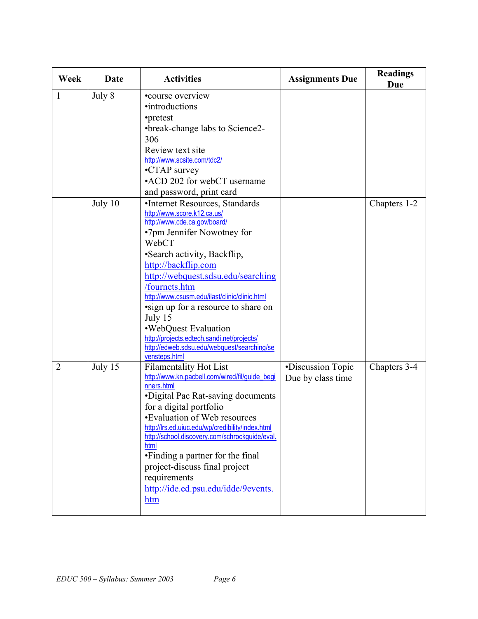| Week           | Date    | <b>Activities</b>                                                                                                                                                                                                                                                                                                                                                                                                                                                                          | <b>Assignments Due</b>                 | <b>Readings</b><br>Due |
|----------------|---------|--------------------------------------------------------------------------------------------------------------------------------------------------------------------------------------------------------------------------------------------------------------------------------------------------------------------------------------------------------------------------------------------------------------------------------------------------------------------------------------------|----------------------------------------|------------------------|
| 1              | July 8  | •course overview<br>•introductions<br>•pretest<br>•break-change labs to Science2-<br>306<br>Review text site<br>http://www.scsite.com/tdc2/<br>•CTAP survey<br>•ACD 202 for webCT username<br>and password, print card                                                                                                                                                                                                                                                                     |                                        |                        |
|                | July 10 | •Internet Resources, Standards<br>http://www.score.k12.ca.us/<br>http://www.cde.ca.gov/board/<br>•7pm Jennifer Nowotney for<br>WebCT<br>•Search activity, Backflip,<br>http://backflip.com<br>http://webquest.sdsu.edu/searching<br>/fournets.htm<br>http://www.csusm.edu/ilast/clinic/clinic.html<br>•sign up for a resource to share on<br>July 15<br>•WebQuest Evaluation<br>http://projects.edtech.sandi.net/projects/<br>http://edweb.sdsu.edu/webquest/searching/se<br>vensteps.html |                                        | Chapters 1-2           |
| $\overline{2}$ | July 15 | <b>Filamentality Hot List</b><br>http://www.kn.pacbell.com/wired/fil/guide_begi<br>nners.html<br>•Digital Pac Rat-saving documents<br>for a digital portfolio<br>•Evaluation of Web resources<br>http://lrs.ed.uiuc.edu/wp/credibility/index.html<br>http://school.discovery.com/schrockguide/eval.<br>html<br>•Finding a partner for the final<br>project-discuss final project<br>requirements<br>http://ide.ed.psu.edu/idde/9events.<br>htm                                             | •Discussion Topic<br>Due by class time | Chapters 3-4           |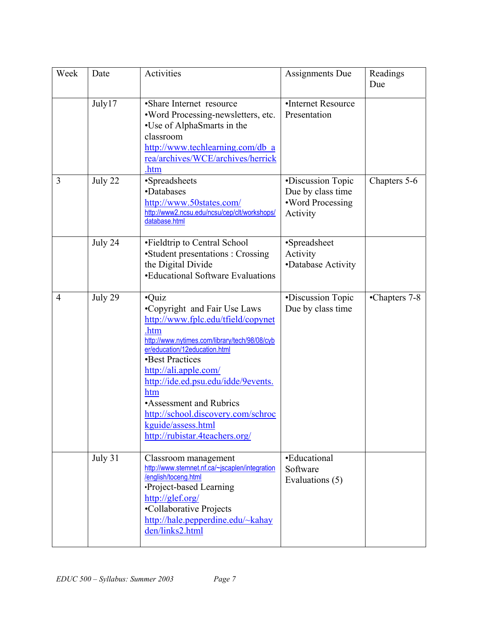| Week | Date    | Activities                                                                                                                                                                                                                                                                                                                                                                                      | <b>Assignments Due</b>                                                 | Readings<br>Due |
|------|---------|-------------------------------------------------------------------------------------------------------------------------------------------------------------------------------------------------------------------------------------------------------------------------------------------------------------------------------------------------------------------------------------------------|------------------------------------------------------------------------|-----------------|
|      | July17  | •Share Internet resource<br>•Word Processing-newsletters, etc.<br>•Use of AlphaSmarts in the<br>classroom<br>http://www.techlearning.com/db a<br>rea/archives/WCE/archives/herrick<br>.htm                                                                                                                                                                                                      | •Internet Resource<br>Presentation                                     |                 |
| 3    | July 22 | •Spreadsheets<br>•Databases<br>http://www.50states.com/<br>http://www2.ncsu.edu/ncsu/cep/clt/workshops/<br>database.html                                                                                                                                                                                                                                                                        | •Discussion Topic<br>Due by class time<br>•Word Processing<br>Activity | Chapters 5-6    |
|      | July 24 | •Fieldtrip to Central School<br>•Student presentations : Crossing<br>the Digital Divide<br>•Educational Software Evaluations                                                                                                                                                                                                                                                                    | •Spreadsheet<br>Activity<br>•Database Activity                         |                 |
| 4    | July 29 | $\cdot$ Quiz<br>•Copyright and Fair Use Laws<br>http://www.fplc.edu/tfield/copynet<br>.htm<br>http://www.nytimes.com/library/tech/98/08/cyb<br>er/education/12education.html<br>•Best Practices<br>http://ali.apple.com/<br>http://ide.ed.psu.edu/idde/9events.<br>htm<br>•Assessment and Rubrics<br>http://school.discovery.com/schroc<br>kguide/assess.html<br>http://rubistar.4teachers.org/ | •Discussion Topic<br>Due by class time                                 | •Chapters 7-8   |
|      | July 31 | Classroom management<br>http://www.stemnet.nf.ca/~jscaplen/integration<br>/english/toceng.html<br>Project-based Learning<br>http://glef.org/<br>•Collaborative Projects<br>http://hale.pepperdine.edu/~kahay<br>den/links2.html                                                                                                                                                                 | •Educational<br>Software<br>Evaluations (5)                            |                 |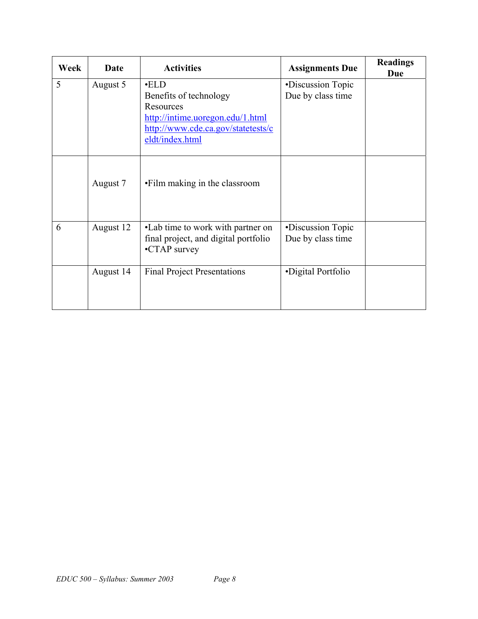| Week | Date      | <b>Activities</b>                                                                                                                               | <b>Assignments Due</b>                 | <b>Readings</b><br>Due |
|------|-----------|-------------------------------------------------------------------------------------------------------------------------------------------------|----------------------------------------|------------------------|
| 5    | August 5  | $\cdot$ ELD<br>Benefits of technology<br>Resources<br>http://intime.uoregon.edu/1.html<br>http://www.cde.ca.gov/statetests/c<br>eldt/index.html | •Discussion Topic<br>Due by class time |                        |
|      | August 7  | •Film making in the classroom                                                                                                                   |                                        |                        |
| 6    | August 12 | •Lab time to work with partner on<br>final project, and digital portfolio<br>•CTAP survey                                                       | •Discussion Topic<br>Due by class time |                        |
|      | August 14 | <b>Final Project Presentations</b>                                                                                                              | •Digital Portfolio                     |                        |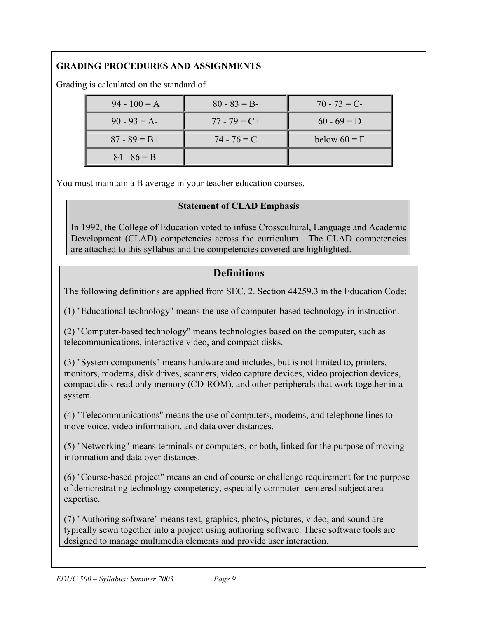# **GRADING PROCEDURES AND ASSIGNMENTS**

Grading is calculated on the standard of

| $94 - 100 = A$  | $80 - 83 = B$   | $70 - 73 = C$  |
|-----------------|-----------------|----------------|
| $90 - 93 = A$   | $77 - 79 = C +$ | $60 - 69 = D$  |
| $87 - 89 = B +$ | $74 - 76 = C$   | below $60 = F$ |
| $84 - 86 = B$   |                 |                |

You must maintain a B average in your teacher education courses.

### **Statement of CLAD Emphasis**

In 1992, the College of Education voted to infuse Crosscultural, Language and Academic Development (CLAD) competencies across the curriculum. The CLAD competencies are attached to this syllabus and the competencies covered are highlighted.

# **Definitions**

The following definitions are applied from SEC. 2. Section 44259.3 in the Education Code:

(1) "Educational technology" means the use of computer-based technology in instruction.

(2) "Computer-based technology" means technologies based on the computer, such as telecommunications, interactive video, and compact disks.

(3) "System components" means hardware and includes, but is not limited to, printers, monitors, modems, disk drives, scanners, video capture devices, video projection devices, compact disk-read only memory (CD-ROM), and other peripherals that work together in a system.

(4) "Telecommunications" means the use of computers, modems, and telephone lines to move voice, video information, and data over distances.

(5) "Networking" means terminals or computers, or both, linked for the purpose of moving information and data over distances.

(6) "Course-based project" means an end of course or challenge requirement for the purpose of demonstrating technology competency, especially computer- centered subject area expertise.

(7) "Authoring software" means text, graphics, photos, pictures, video, and sound are typically sewn together into a project using authoring software. These software tools are designed to manage multimedia elements and provide user interaction.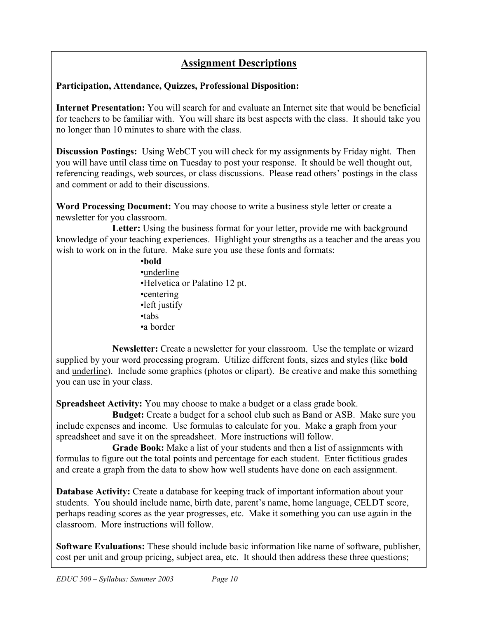# **Assignment Descriptions**

## **Participation, Attendance, Quizzes, Professional Disposition:**

**Internet Presentation:** You will search for and evaluate an Internet site that would be beneficial for teachers to be familiar with. You will share its best aspects with the class. It should take you no longer than 10 minutes to share with the class.

**Discussion Postings:** Using WebCT you will check for my assignments by Friday night. Then you will have until class time on Tuesday to post your response. It should be well thought out, referencing readings, web sources, or class discussions. Please read others' postings in the class and comment or add to their discussions.

**Word Processing Document:** You may choose to write a business style letter or create a newsletter for you classroom.

Letter: Using the business format for your letter, provide me with background knowledge of your teaching experiences. Highlight your strengths as a teacher and the areas you wish to work on in the future. Make sure you use these fonts and formats:

> •**bold** •underline •Helvetica or Palatino 12 pt. •centering •left justify •tabs •a border

**Newsletter:** Create a newsletter for your classroom. Use the template or wizard supplied by your word processing program. Utilize different fonts, sizes and styles (like **bold** and underline). Include some graphics (photos or clipart). Be creative and make this something you can use in your class.

**Spreadsheet Activity:** You may choose to make a budget or a class grade book.

**Budget:** Create a budget for a school club such as Band or ASB. Make sure you include expenses and income. Use formulas to calculate for you. Make a graph from your spreadsheet and save it on the spreadsheet. More instructions will follow.

**Grade Book:** Make a list of your students and then a list of assignments with formulas to figure out the total points and percentage for each student. Enter fictitious grades and create a graph from the data to show how well students have done on each assignment.

**Database Activity:** Create a database for keeping track of important information about your students. You should include name, birth date, parent's name, home language, CELDT score, perhaps reading scores as the year progresses, etc. Make it something you can use again in the classroom. More instructions will follow.

**Software Evaluations:** These should include basic information like name of software, publisher, cost per unit and group pricing, subject area, etc. It should then address these three questions;